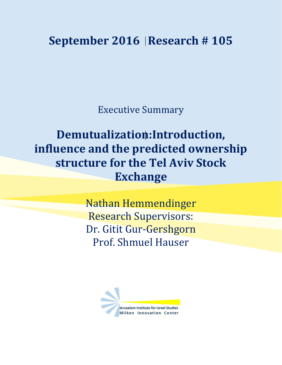## **September 2016 Research # 105**

Executive Summary

## **Demutualization:Introduction, influence and the predicted ownership structure for the Tel Aviv Stock Exchange**

Nathan Hemmendinger Research Supervisors: Dr. Gitit Gur-Gershgorn Prof. Shmuel Hauser

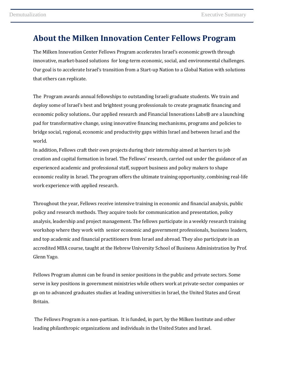## **About the Milken Innovation Center Fellows Program**

The Milken Innovation Center Fellows Program accelerates Israel's economic growth through innovative, market-based solutions for long-term economic, social, and environmental challenges. Our goal is to accelerate Israel's transition from a Start-up Nation to a Global Nation with solutions that others can replicate.

The Program awards annual fellowships to outstanding Israeli graduate students. We train and deploy some of Israel's best and brightest young professionals to create pragmatic financing and economic policy solutions.. Our applied research and Financial Innovations Labs® are a launching pad for transformative change, using innovative financing mechanisms, programs and policies to bridge social, regional, economic and productivity gaps within Israel and between Israel and the world.

In addition, Fellows craft their own projects during their internship aimed at barriers to job creation and capital formation in Israel. The Fellows' research, carried out under the guidance of an experienced academic and professional staff, support business and policy makers to shape economic reality in Israel. The program offers the ultimate training opportunity, combining real-life work experience with applied research.

Throughout the year, Fellows receive intensive training in economic and financial analysis, public policy and research methods. They acquire tools for communication and presentation, policy analysis, leadership and project management. The fellows participate in a weekly research training workshop where they work with senior economic and government professionals, business leaders, and top academic and financial practitioners from Israel and abroad. They also participate in an accredited MBA course, taught at the Hebrew University School of Business Administration by Prof. Glenn Yago.

Fellows Program alumni can be found in senior positions in the public and private sectors. Some serve in key positions in government ministries while others work at private-sector companies or go on to advanced graduates studies at leading universities in Israel, the United States and Great Britain.

The Fellows Program is a non-partisan. It is funded, in part, by the Milken Institute and other leading philanthropic organizations and individuals in the United States and Israel.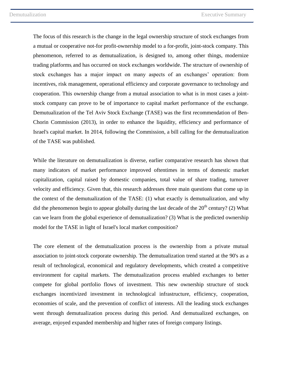The focus of this research is the change in the legal ownership structure of stock exchanges from a mutual or cooperative not-for profit-ownership model to a for-profit, joint-stock company. This phenomenon, referred to as demutualization, is designed to, among other things, modernize trading platforms, and has occurred on stock exchanges worldwide. The structure of ownership of stock exchanges has a major impact on many aspects of an exchanges' operation: from incentives, risk management, operational efficiency and corporate governance to technology and cooperation. This ownership change from a mutual association to what is in most cases a jointstock company can prove to be of importance to capital market performance of the exchange. Demutualization of the Tel Aviv Stock Exchange (TASE) was the first recommendation of Ben-Chorin Commission (2013), in order to enhance the liquidity, efficiency and performance of Israel's capital market. In 2014, following the Commission, a bill calling for the demutualization of the TASE was published.

While the literature on demutualization is diverse, earlier comparative research has shown that many indicators of market performance improved oftentimes in terms of domestic market capitalization, capital raised by domestic companies, total value of share trading, turnover velocity and efficiency. Given that, this research addresses three main questions that come up in the context of the demutualization of the TASE: (1) what exactly is demutualization, and why did the phenomenon begin to appear globally during the last decade of the  $20<sup>th</sup>$  century? (2) What can we learn from the global experience of demutualization? (3) What is the predicted ownership model for the TASE in light of Israel's local market composition?

The core element of the demutualization process is the ownership from a private mutual association to joint-stock corporate ownership. The demutualization trend started at the 90's as a result of technological, economical and regulatory developments, which created a competitive environment for capital markets. The demutualization process enabled exchanges to better compete for global portfolio flows of investment. This new ownership structure of stock exchanges incentivized investment in technological infrastructure, efficiency, cooperation, economies of scale, and the prevention of conflict of interests. All the leading stock exchanges went through demutualization process during this period. And demutualized exchanges, on average, enjoyed expanded membership and higher rates of foreign company listings.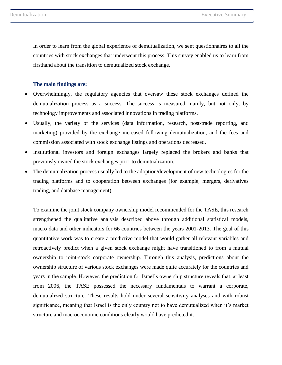In order to learn from the global experience of demutualization, we sent questionnaires to all the countries with stock exchanges that underwent this process. This survey enabled us to learn from firsthand about the transition to demutualized stock exchange.

## **The main findings are:**

- Overwhelmingly, the regulatory agencies that oversaw these stock exchanges defined the demutualization process as a success. The success is measured mainly, but not only, by technology improvements and associated innovations in trading platforms.
- Usually, the variety of the services (data information, research, post-trade reporting, and marketing) provided by the exchange increased following demutualization, and the fees and commission associated with stock exchange listings and operations decreased.
- Institutional investors and foreign exchanges largely replaced the brokers and banks that previously owned the stock exchanges prior to demutualization.
- The demutualization process usually led to the adoption/development of new technologies for the trading platforms and to cooperation between exchanges (for example, mergers, derivatives trading, and database management).

To examine the joint stock company ownership model recommended for the TASE, this research strengthened the qualitative analysis described above through additional statistical models, macro data and other indicators for 66 countries between the years 2001-2013. The goal of this quantitative work was to create a predictive model that would gather all relevant variables and retroactively predict when a given stock exchange might have transitioned to from a mutual ownership to joint-stock corporate ownership. Through this analysis, predictions about the ownership structure of various stock exchanges were made quite accurately for the countries and years in the sample. However, the prediction for Israel's ownership structure reveals that, at least from 2006, the TASE possessed the necessary fundamentals to warrant a corporate, demutualized structure. These results hold under several sensitivity analyses and with robust significance, meaning that Israel is the only country not to have demutualized when it's market structure and macroeconomic conditions clearly would have predicted it.